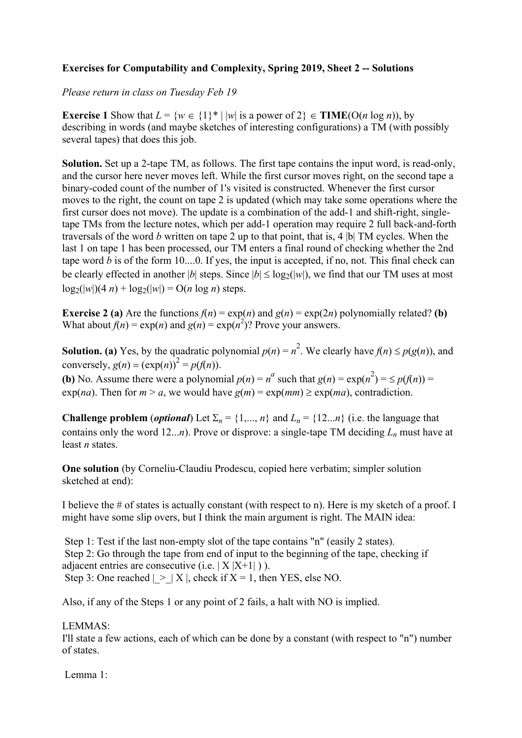## **Exercises for Computability and Complexity, Spring 2019, Sheet 2 -- Solutions**

## *Please return in class on Tuesday Feb 19*

**Exercise 1** Show that  $L = \{w \in \{1\}^* | |w| \text{ is a power of } 2 \} \in \textbf{TIME}(O(n \log n))$ , by describing in words (and maybe sketches of interesting configurations) a TM (with possibly several tapes) that does this job.

**Solution.** Set up a 2-tape TM, as follows. The first tape contains the input word, is read-only, and the cursor here never moves left. While the first cursor moves right, on the second tape a binary-coded count of the number of 1's visited is constructed. Whenever the first cursor moves to the right, the count on tape 2 is updated (which may take some operations where the first cursor does not move). The update is a combination of the add-1 and shift-right, singletape TMs from the lecture notes, which per add-1 operation may require 2 full back-and-forth traversals of the word *b* written on tape 2 up to that point, that is, 4 |b| TM cycles. When the last 1 on tape 1 has been processed, our TM enters a final round of checking whether the 2nd tape word *b* is of the form 10....0. If yes, the input is accepted, if no, not. This final check can be clearly effected in another |*b*| steps. Since  $|b| \le \log_2(|w|)$ , we find that our TM uses at most  $log_2(|w|)(4 n) + log_2(|w|) = O(n log n)$  steps.

**Exercise 2 (a)** Are the functions  $f(n) = \exp(n)$  and  $g(n) = \exp(2n)$  polynomially related? **(b)** What about  $f(n) = \exp(n)$  and  $g(n) = \exp(n^2)$ ? Prove your answers.

**Solution. (a)** Yes, by the quadratic polynomial  $p(n) = n^2$ . We clearly have  $f(n) \leq p(g(n))$ , and conversely,  $g(n) = (\exp(n))^2 = p(f(n)).$ 

**(b)** No. Assume there were a polynomial  $p(n) = n^a$  such that  $g(n) = \exp(n^2) = \leq p(f(n)) =$  $\exp(na)$ . Then for  $m > a$ , we would have  $g(m) = \exp(mm) \ge \exp(ma)$ , contradiction.

**Challenge problem** (*optional*) Let  $\Sigma_n = \{1, ..., n\}$  and  $L_n = \{12, ..., n\}$  (i.e. the language that contains only the word 12...*n*). Prove or disprove: a single-tape TM deciding *Ln* must have at least *n* states.

**One solution** (by Corneliu-Claudiu Prodescu, copied here verbatim; simpler solution sketched at end):

I believe the # of states is actually constant (with respect to n). Here is my sketch of a proof. I might have some slip overs, but I think the main argument is right. The MAIN idea:

Step 1: Test if the last non-empty slot of the tape contains "n" (easily 2 states). Step 2: Go through the tape from end of input to the beginning of the tape, checking if adjacent entries are consecutive  $(i.e. |X|X+1|)$ ). Step 3: One reached  $| > |X|$ , check if  $X = 1$ , then YES, else NO.

Also, if any of the Steps 1 or any point of 2 fails, a halt with NO is implied.

## LEMMAS:

I'll state a few actions, each of which can be done by a constant (with respect to "n") number of states.

Lemma 1: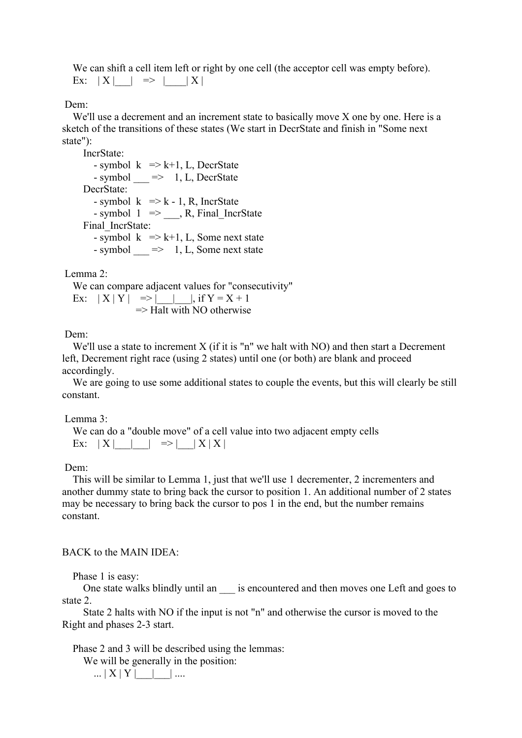We can shift a cell item left or right by one cell (the acceptor cell was empty before). Ex:  $|X|$   $| \Rightarrow |X|$ 

Dem:

 We'll use a decrement and an increment state to basically move X one by one. Here is a sketch of the transitions of these states (We start in DecrState and finish in "Some next state"):

 IncrState: - symbol  $k \implies k+1$ , L, DecrState  $-$  symbol  $\implies$  1, L, DecrState DecrState: - symbol  $k \Rightarrow k - 1$ , R, IncrState - symbol  $1 \implies$ , R, Final IncrState Final IncrState: - symbol  $k \implies k+1$ , L, Some next state - symbol  $\implies$  1, L, Some next state

Lemma 2:

 We can compare adjacent values for "consecutivity" Ex:  $|X|Y| \implies | \quad |$ , if Y = X + 1  $\Rightarrow$  Halt with NO otherwise

Dem:

We'll use a state to increment X (if it is "n" we halt with NO) and then start a Decrement left, Decrement right race (using 2 states) until one (or both) are blank and proceed accordingly.

We are going to use some additional states to couple the events, but this will clearly be still constant.

Lemma 3:

 We can do a "double move" of a cell value into two adjacent empty cells Ex:  $|X|$  |  $| \Rightarrow |X|X|$ 

Dem:

 This will be similar to Lemma 1, just that we'll use 1 decrementer, 2 incrementers and another dummy state to bring back the cursor to position 1. An additional number of 2 states may be necessary to bring back the cursor to pos 1 in the end, but the number remains constant.

BACK to the MAIN IDEA:

Phase 1 is easy:

One state walks blindly until an is encountered and then moves one Left and goes to state 2.

 State 2 halts with NO if the input is not "n" and otherwise the cursor is moved to the Right and phases 2-3 start.

Phase 2 and 3 will be described using the lemmas:

We will be generally in the position:

... | X | Y |\_\_\_|\_\_\_| ....